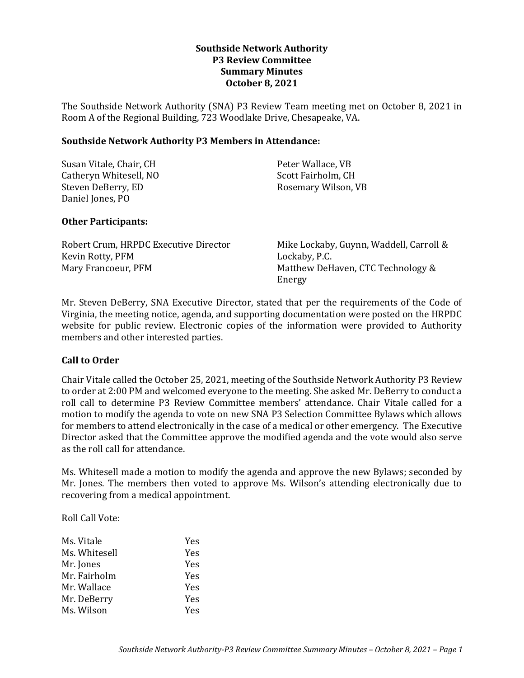# **Southside Network Authority P3 Review Committee Summary Minutes October 8, 2021**

The Southside Network Authority (SNA) P3 Review Team meeting met on October 8, 2021 in Room A of the Regional Building, 723 Woodlake Drive, Chesapeake, VA.

### **Southside Network Authority P3 Members in Attendance:**

| Susan Vitale, Chair, CH | Peter Wallace, VB   |
|-------------------------|---------------------|
| Catheryn Whitesell, NO  | Scott Fairholm, CH  |
| Steven DeBerry, ED      | Rosemary Wilson, VB |
| Daniel Jones, PO        |                     |

# **Other Participants:**

| Robert Crum, HRPDC Executive Director | Mike Lockaby, Guynn, Waddell, Carroll & |
|---------------------------------------|-----------------------------------------|
| Kevin Rotty, PFM                      | Lockaby, P.C.                           |
| Mary Francoeur, PFM                   | Matthew DeHaven, CTC Technology &       |
|                                       | Energy                                  |

Mr. Steven DeBerry, SNA Executive Director, stated that per the requirements of the Code of Virginia, the meeting notice, agenda, and supporting documentation were posted on the HRPDC website for public review. Electronic copies of the information were provided to Authority members and other interested parties.

# **Call to Order**

Chair Vitale called the October 25, 2021, meeting of the Southside Network Authority P3 Review to order at 2:00 PM and welcomed everyone to the meeting. She asked Mr. DeBerry to conduct a roll call to determine P3 Review Committee members' attendance. Chair Vitale called for a motion to modify the agenda to vote on new SNA P3 Selection Committee Bylaws which allows for members to attend electronically in the case of a medical or other emergency. The Executive Director asked that the Committee approve the modified agenda and the vote would also serve as the roll call for attendance.

Ms. Whitesell made a motion to modify the agenda and approve the new Bylaws; seconded by Mr. Jones. The members then voted to approve Ms. Wilson's attending electronically due to recovering from a medical appointment.

Roll Call Vote:

| Ms. Vitale    | Yes |
|---------------|-----|
| Ms. Whitesell | Yes |
| Mr. Jones     | Yes |
| Mr. Fairholm  | Yes |
| Mr. Wallace   | Yes |
| Mr. DeBerry   | Yes |
| Ms. Wilson    | Yes |